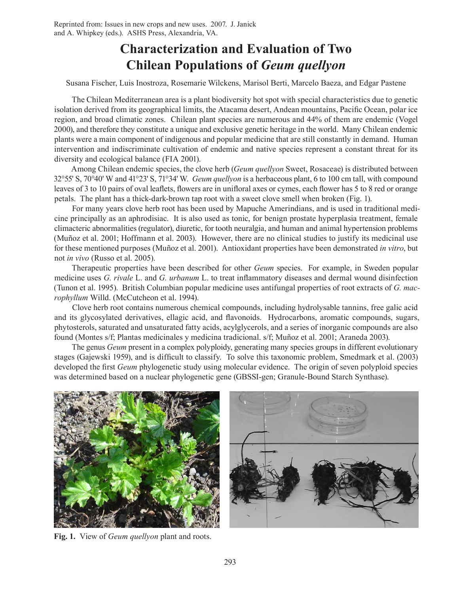# **Characterization and Evaluation of Two Chilean Populations of** *Geum quellyon*

Susana Fischer, Luis Inostroza, Rosemarie Wilckens, Marisol Berti, Marcelo Baeza, and Edgar Pastene

The Chilean Mediterranean area is a plant biodiversity hot spot with special characteristics due to genetic isolation derived from its geographical limits, the Atacama desert, Andean mountains, Pacific Ocean, polar ice region, and broad climatic zones. Chilean plant species are numerous and 44% of them are endemic (Vogel 2000), and therefore they constitute a unique and exclusive genetic heritage in the world. Many Chilean endemic plants were a main component of indigenous and popular medicine that are still constantly in demand. Human intervention and indiscriminate cultivation of endemic and native species represent a constant threat for its diversity and ecological balance (FIA 2001).

Among Chilean endemic species, the clove herb (*Geum quellyon* Sweet, Rosaceae) is distributed between 32°55' S, 70°40' W and 41°23' S, 71°34' W. *Geum quellyon* is a herbaceous plant, 6 to 100 cm tall, with compound leaves of 3 to 10 pairs of oval leaflets, flowers are in unifloral axes or cymes, each flower has 5 to 8 red or orange petals. The plant has a thick-dark-brown tap root with a sweet clove smell when broken (Fig. 1).

For many years clove herb root has been used by Mapuche Amerindians, and is used in traditional medicine principally as an aphrodisiac. It is also used as tonic, for benign prostate hyperplasia treatment, female climacteric abnormalities (regulator), diuretic, for tooth neuralgia, and human and animal hypertension problems (Muñoz et al. 2001; Hoffmann et al. 2003). However, there are no clinical studies to justify its medicinal use for these mentioned purposes (Muñoz et al. 2001). Antioxidant properties have been demonstrated *in vitro*, but not *in vivo* (Russo et al. 2005).

Therapeutic properties have been described for other *Geum* species. For example, in Sweden popular medicine uses *G. rivale* L. and *G. urbanum* L. to treat inflammatory diseases and dermal wound disinfection (Tunon et al. 1995). British Columbian popular medicine uses antifungal properties of root extracts of *G. macrophyllum* Willd. (McCutcheon et al. 1994).

Clove herb root contains numerous chemical compounds, including hydrolysable tannins, free galic acid and its glycosylated derivatives, ellagic acid, and flavonoids. Hydrocarbons, aromatic compounds, sugars, phytosterols, saturated and unsaturated fatty acids, acylglycerols, and a series of inorganic compounds are also found (Montes s/f; Plantas medicinales y medicina tradicional. s/f; Muñoz et al. 2001; Araneda 2003).

The genus *Geum* present in a complex polyploidy, generating many species groups in different evolutionary stages (Gajewski 1959), and is difficult to classify. To solve this taxonomic problem, Smedmark et al. (2003) developed the first *Geum* phylogenetic study using molecular evidence. The origin of seven polyploid species was determined based on a nuclear phylogenetic gene (GBSSI-gen; Granule-Bound Starch Synthase).



**Fig. 1.** View of *Geum quellyon* plant and roots.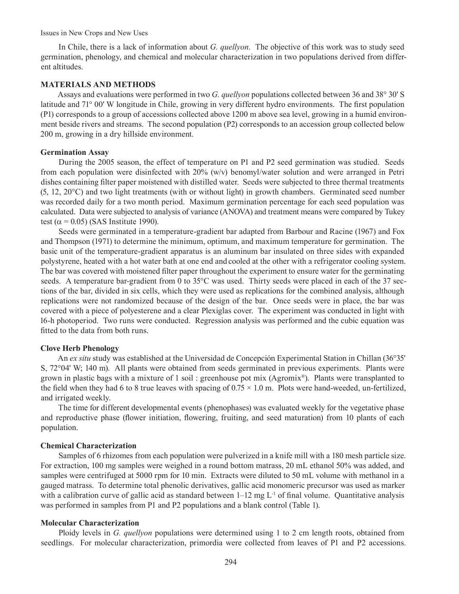Issues in New Crops and New Uses

In Chile, there is a lack of information about *G. quellyon*. The objective of this work was to study seed germination, phenology, and chemical and molecular characterization in two populations derived from different altitudes.

## **MATERIALS AND METHODS**

Assays and evaluations were performed in two *G. quellyon* populations collected between 36 and 38° 30' S latitude and 71° 00' W longitude in Chile, growing in very different hydro environments. The first population (P1) corresponds to a group of accessions collected above 1200 m above sea level, growing in a humid environment beside rivers and streams. The second population (P2) corresponds to an accession group collected below 200 m, growing in a dry hillside environment.

## **Germination Assay**

During the 2005 season, the effect of temperature on P1 and P2 seed germination was studied. Seeds from each population were disinfected with 20% (w/v) benomyl/water solution and were arranged in Petri dishes containing filter paper moistened with distilled water. Seeds were subjected to three thermal treatments (5, 12, 20°C) and two light treatments (with or without light) in growth chambers. Germinated seed number was recorded daily for a two month period. Maximum germination percentage for each seed population was calculated. Data were subjected to analysis of variance (ANOVA) and treatment means were compared by Tukey test ( $\alpha$  = 0.05) (SAS Institute 1990).

Seeds were germinated in a temperature-gradient bar adapted from Barbour and Racine (1967) and Fox and Thompson (1971) to determine the minimum, optimum, and maximum temperature for germination. The basic unit of the temperature-gradient apparatus is an aluminum bar insulated on three sides with expanded polystyrene, heated with a hot water bath at one end and cooled at the other with a refrigerator cooling system. The bar was covered with moistened filter paper throughout the experiment to ensure water for the germinating seeds. A temperature bar-gradient from 0 to 35°C was used. Thirty seeds were placed in each of the 37 sections of the bar, divided in six cells, which they were used as replications for the combined analysis, although replications were not randomized because of the design of the bar. Once seeds were in place, the bar was covered with a piece of polyesterene and a clear Plexiglas cover. The experiment was conducted in light with 16-h photoperiod. Two runs were conducted. Regression analysis was performed and the cubic equation was fitted to the data from both runs.

## **Clove Herb Phenology**

An *ex situ* study was established at the Universidad de Concepción Experimental Station in Chillan (36°35' S, 72°04' W; 140 m). All plants were obtained from seeds germinated in previous experiments. Plants were grown in plastic bags with a mixture of 1 soil : greenhouse pot mix (Agromix®). Plants were transplanted to the field when they had 6 to 8 true leaves with spacing of  $0.75 \times 1.0$  m. Plots were hand-weeded, un-fertilized, and irrigated weekly.

The time for different developmental events (phenophases) was evaluated weekly for the vegetative phase and reproductive phase (flower initiation, flowering, fruiting, and seed maturation) from 10 plants of each population.

## **Chemical Characterization**

Samples of 6 rhizomes from each population were pulverized in a knife mill with a 180 mesh particle size. For extraction, 100 mg samples were weighed in a round bottom matrass, 20 mL ethanol 50% was added, and samples were centrifuged at 5000 rpm for 10 min. Extracts were diluted to 50 mL volume with methanol in a gauged matrass. To determine total phenolic derivatives, gallic acid monomeric precursor was used as marker with a calibration curve of gallic acid as standard between  $1-12$  mg L<sup>-1</sup> of final volume. Quantitative analysis was performed in samples from P1 and P2 populations and a blank control (Table 1).

#### **Molecular Characterization**

Ploidy levels in *G. quellyon* populations were determined using 1 to 2 cm length roots, obtained from seedlings. For molecular characterization, primordia were collected from leaves of P1 and P2 accessions.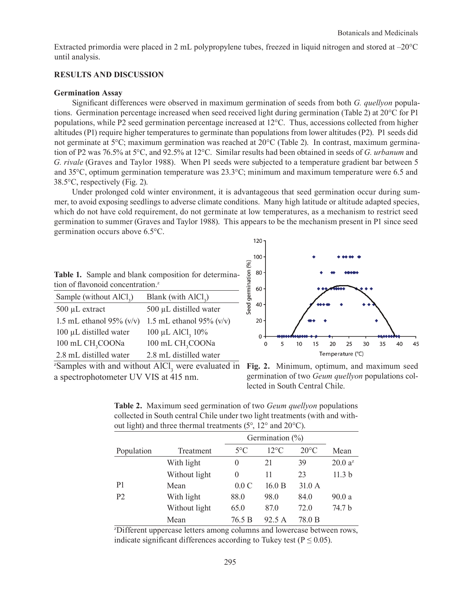Extracted primordia were placed in 2 mL polypropylene tubes, freezed in liquid nitrogen and stored at –20°C until analysis.

## **RESULTS AND DISCUSSION**

### **Germination Assay**

Significant differences were observed in maximum germination of seeds from both *G. quellyon* populations. Germination percentage increased when seed received light during germination (Table 2) at 20°C for P1 populations, while P2 seed germination percentage increased at 12°C. Thus, accessions collected from higher altitudes (P1) require higher temperatures to germinate than populations from lower altitudes (P2). P1 seeds did not germinate at 5°C; maximum germination was reached at 20°C (Table 2). In contrast, maximum germination of P2 was 76.5% at 5°C, and 92.5% at 12°C. Similar results had been obtained in seeds of *G. urbanum* and *G. rivale* (Graves and Taylor 1988). When P1 seeds were subjected to a temperature gradient bar between 5 and 35°C, optimum germination temperature was 23.3°C; minimum and maximum temperature were 6.5 and 38.5°C, respectively (Fig. 2).

Under prolonged cold winter environment, it is advantageous that seed germination occur during summer, to avoid exposing seedlings to adverse climate conditions. Many high latitude or altitude adapted species, which do not have cold requirement, do not germinate at low temperatures, as a mechanism to restrict seed germination to summer (Graves and Taylor 1988). This appears to be the mechanism present in P1 since seed germination occurs above 6.5°C.

|                                               | Table 1. Sample and blank composition for determina- |  |  |  |  |  |
|-----------------------------------------------|------------------------------------------------------|--|--|--|--|--|
| tion of flavonoid concentration. <sup>2</sup> |                                                      |  |  |  |  |  |

| Sample (without AlCl <sub>2</sub> ) | Blank (with $AICI3$ )        |  |  |
|-------------------------------------|------------------------------|--|--|
| 500 µL extract                      | $500 \mu L$ distilled water  |  |  |
| 1.5 mL ethanol 95% $(v/v)$          | 1.5 mL ethanol 95% $(v/v)$   |  |  |
| $100 \mu L$ distilled water         | 100 μL AlCl <sub>3</sub> 10% |  |  |
| 100 mL CH <sub>3</sub> COONa        | 100 mL CH <sub>3</sub> COONa |  |  |
| 2.8 mL distilled water              | 2.8 mL distilled water       |  |  |



 $z$ Samples with and without AlCl<sub>3</sub> were evaluated in **Fig. 2.** Minimum, optimum, and maximum seed a spectrophotometer UV VIS at 415 nm.

germination of two *Geum quellyon* populations collected in South Central Chile.

| <b>Table 2.</b> Maximum seed germination of two <i>Geum quellyon</i> populations      |
|---------------------------------------------------------------------------------------|
| collected in South central Chile under two light treatments (with and with-           |
| out light) and three thermal treatments $(5^{\circ}, 12^{\circ}$ and $20^{\circ}$ C). |

|                |               |               | Germination $(\%)$ |                |                     |
|----------------|---------------|---------------|--------------------|----------------|---------------------|
| Population     | Treatment     | $5^{\circ}$ C | $12^{\circ}$ C     | $20^{\circ}$ C | Mean                |
|                | With light    | $\theta$      | 21                 | 39             | 20.0 a <sup>z</sup> |
|                | Without light | $\Omega$      | 11                 | 23             | 11.3 <sub>b</sub>   |
| P <sub>1</sub> | Mean          | 0.0C          | 16.0 B             | 31.0 A         |                     |
| P <sub>2</sub> | With light    | 88.0          | 98.0               | 84.0           | 90.0a               |
|                | Without light | 65.0          | 87.0               | 72.0           | 74.7 b              |
|                | Mean          | 76.5 B        | 92.5 A             | 78.0 B         |                     |

z Different uppercase letters among columns and lowercase between rows, indicate significant differences according to Tukey test ( $P \le 0.05$ ).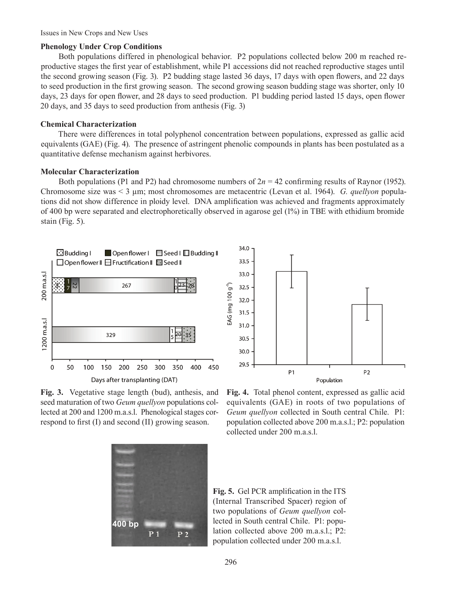Issues in New Crops and New Uses

## **Phenology Under Crop Conditions**

Both populations differed in phenological behavior. P2 populations collected below 200 m reached reproductive stages the first year of establishment, while P1 accessions did not reached reproductive stages until the second growing season (Fig. 3). P2 budding stage lasted 36 days, 17 days with open flowers, and 22 days to seed production in the first growing season. The second growing season budding stage was shorter, only 10 days, 23 days for open flower, and 28 days to seed production. P1 budding period lasted 15 days, open flower 20 days, and 35 days to seed production from anthesis (Fig. 3)

## **Chemical Characterization**

There were differences in total polyphenol concentration between populations, expressed as gallic acid equivalents (GAE) (Fig. 4). The presence of astringent phenolic compounds in plants has been postulated as a quantitative defense mechanism against herbivores.

## **Molecular Characterization**

Both populations (P1 and P2) had chromosome numbers of  $2n = 42$  confirming results of Raynor (1952). Chromosome size was < 3 µm; most chromosomes are metacentric (Levan et al. 1964). *G. quellyon* populations did not show difference in ploidy level. DNA amplification was achieved and fragments approximately of 400 bp were separated and electrophoretically observed in agarose gel (1%) in TBE with ethidium bromide stain (Fig. 5).





**Fig. 3.** Vegetative stage length (bud), anthesis, and seed maturation of two *Geum quellyon* populations collected at 200 and 1200 m.a.s.l. Phenological stages correspond to first (I) and second (II) growing season.

**Fig. 4.** Total phenol content, expressed as gallic acid equivalents (GAE) in roots of two populations of *Geum quellyon* collected in South central Chile. P1: population collected above 200 m.a.s.l.; P2: population collected under 200 m.a.s.l.



**Fig. 5.** Gel PCR amplification in the ITS (Internal Transcribed Spacer) region of two populations of *Geum quellyon* collected in South central Chile. P1: population collected above 200 m.a.s.l.; P2: population collected under 200 m.a.s.l.